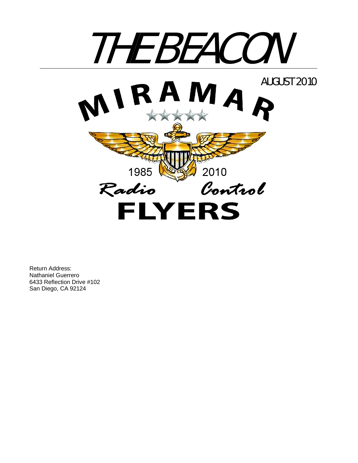

Return Address: Nathaniel Guerrero 6433 Reflection Drive #102 San Diego, CA 92124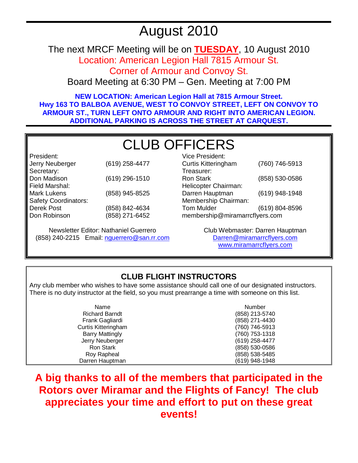## August 2010

The next MRCF Meeting will be on **TUESDAY**, 10 August 2010 Location: American Legion Hall 7815 Armour St.

Corner of Armour and Convoy St.

Board Meeting at 6:30 PM – Gen. Meeting at 7:00 PM

**NEW LOCATION: American Legion Hall at 7815 Armour Street. Hwy 163 TO BALBOA AVENUE, WEST TO CONVOY STREET, LEFT ON CONVOY TO ARMOUR ST., TURN LEFT ONTO ARMOUR AND RIGHT INTO AMERICAN LEGION. ADDITIONAL PARKING IS ACROSS THE STREET AT CARQUEST.** 

# CLUB OFFICERS

President: Jerry Neuberger (619) 258-4477 Secretary: Don Madison (619) 296-1510 Field Marshal: Mark Lukens (858) 945-8525 Safety Coordinators: Derek Post Don Robinson (858) 842-4634 (858) 271-6452

Newsletter Editor: Nathaniel Guerrero (858) 240-2215 Email: nguerrero@san.rr.com

| Vice President:                |                |  |  |
|--------------------------------|----------------|--|--|
| <b>Curtis Kitteringham</b>     | (760) 746-5913 |  |  |
| Treasurer:                     |                |  |  |
| Ron Stark                      | (858) 530-0586 |  |  |
| Helicopter Chairman:           |                |  |  |
| Darren Hauptman                | (619) 948-1948 |  |  |
| Membership Chairman:           |                |  |  |
| <b>Tom Mulder</b>              | (619) 804-8596 |  |  |
| membership@miramarrcflyers.com |                |  |  |
|                                |                |  |  |

Club Webmaster: Darren Hauptman Darren@miramarrcflyers.com www.miramarrcflyers.com

## **CLUB FLIGHT INSTRUCTORS**

Any club member who wishes to have some assistance should call one of our designated instructors. There is no duty instructor at the field, so you must prearrange a time with someone on this list.

| Name                   | Number         |
|------------------------|----------------|
| <b>Richard Barndt</b>  | (858) 213-5740 |
| Frank Gagliardi        | (858) 271-4430 |
| Curtis Kitteringham    | (760) 746-5913 |
| <b>Barry Mattingly</b> | (760) 753-1318 |
| Jerry Neuberger        | (619) 258-4477 |
| Ron Stark              | (858) 530-0586 |
| Roy Rapheal            | (858) 538-5485 |
| Darren Hauptman        | (619) 948-1948 |

**A big thanks to all of the members that participated in the Rotors over Miramar and the Flights of Fancy! The club appreciates your time and effort to put on these great events!**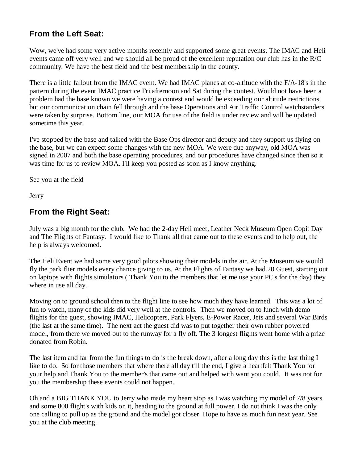## **From the Left Seat:**

Wow, we've had some very active months recently and supported some great events. The IMAC and Heli events came off very well and we should all be proud of the excellent reputation our club has in the R/C community. We have the best field and the best membership in the county.

There is a little fallout from the IMAC event. We had IMAC planes at co-altitude with the F/A-18's in the pattern during the event IMAC practice Fri afternoon and Sat during the contest. Would not have been a problem had the base known we were having a contest and would be exceeding our altitude restrictions, but our communication chain fell through and the base Operations and Air Traffic Control watchstanders were taken by surprise. Bottom line, our MOA for use of the field is under review and will be updated sometime this year.

I've stopped by the base and talked with the Base Ops director and deputy and they support us flying on the base, but we can expect some changes with the new MOA. We were due anyway, old MOA was signed in 2007 and both the base operating procedures, and our procedures have changed since then so it was time for us to review MOA. I'll keep you posted as soon as I know anything.

See you at the field

Jerry

## **From the Right Seat:**

July was a big month for the club. We had the 2-day Heli meet, Leather Neck Museum Open Copit Day and The Flights of Fantasy. I would like to Thank all that came out to these events and to help out, the help is always welcomed.

The Heli Event we had some very good pilots showing their models in the air. At the Museum we would fly the park flier models every chance giving to us. At the Flights of Fantasy we had 20 Guest, starting out on laptops with flights simulators ( Thank You to the members that let me use your PC's for the day) they where in use all day.

Moving on to ground school then to the flight line to see how much they have learned. This was a lot of fun to watch, many of the kids did very well at the controls. Then we moved on to lunch with demo flights for the guest, showing IMAC, Helicopters, Park Flyers, E-Power Racer, Jets and several War Birds (the last at the same time). The next act the guest did was to put together their own rubber powered model, from there we moved out to the runway for a fly off. The 3 longest flights went home with a prize donated from Robin.

The last item and far from the fun things to do is the break down, after a long day this is the last thing I like to do. So for those members that where there all day till the end, I give a heartfelt Thank You for your help and Thank You to the member's that came out and helped with want you could. It was not for you the membership these events could not happen.

Oh and a BIG THANK YOU to Jerry who made my heart stop as I was watching my model of 7/8 years and some 800 flight's with kids on it, heading to the ground at full power. I do not think I was the only one calling to pull up as the ground and the model got closer. Hope to have as much fun next year. See you at the club meeting.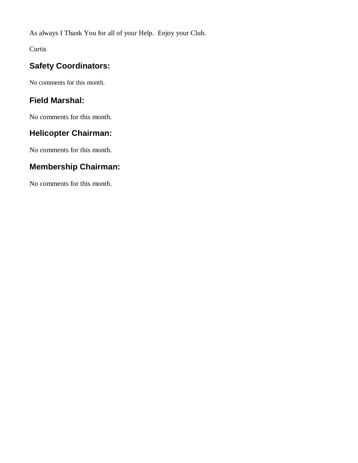As always I Thank You for all of your Help. Enjoy your Club.

Curtis

## **Safety Coordinators:**

No comments for this month.

## **Field Marshal:**

No comments for this month.

## **Helicopter Chairman:**

No comments for this month.

### **Membership Chairman:**

No comments for this month.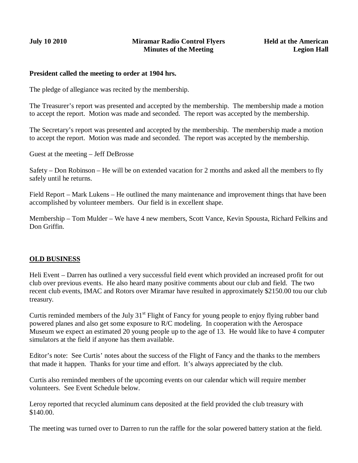#### **President called the meeting to order at 1904 hrs.**

The pledge of allegiance was recited by the membership.

The Treasurer's report was presented and accepted by the membership. The membership made a motion to accept the report. Motion was made and seconded. The report was accepted by the membership.

The Secretary's report was presented and accepted by the membership. The membership made a motion to accept the report. Motion was made and seconded. The report was accepted by the membership.

Guest at the meeting – Jeff DeBrosse

Safety – Don Robinson – He will be on extended vacation for 2 months and asked all the members to fly safely until he returns.

Field Report – Mark Lukens – He outlined the many maintenance and improvement things that have been accomplished by volunteer members. Our field is in excellent shape.

Membership – Tom Mulder – We have 4 new members, Scott Vance, Kevin Spousta, Richard Felkins and Don Griffin.

#### **OLD BUSINESS**

Heli Event – Darren has outlined a very successful field event which provided an increased profit for out club over previous events. He also heard many positive comments about our club and field. The two recent club events, IMAC and Rotors over Miramar have resulted in approximately \$2150.00 tou our club treasury.

Curtis reminded members of the July  $31<sup>st</sup>$  Flight of Fancy for young people to enjoy flying rubber band powered planes and also get some exposure to R/C modeling. In cooperation with the Aerospace Museum we expect an estimated 20 young people up to the age of 13. He would like to have 4 computer simulators at the field if anyone has them available.

Editor's note: See Curtis' notes about the success of the Flight of Fancy and the thanks to the members that made it happen. Thanks for your time and effort. It's always appreciated by the club.

Curtis also reminded members of the upcoming events on our calendar which will require member volunteers. See Event Schedule below.

Leroy reported that recycled aluminum cans deposited at the field provided the club treasury with \$140.00.

The meeting was turned over to Darren to run the raffle for the solar powered battery station at the field.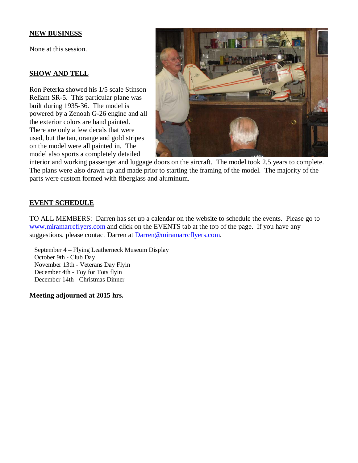#### **NEW BUSINESS**

None at this session.

#### **SHOW AND TELL**

Ron Peterka showed his 1/5 scale Stinson Reliant SR-5. This particular plane was built during 1935-36. The model is powered by a Zenoah G-26 engine and all the exterior colors are hand painted. There are only a few decals that were used, but the tan, orange and gold stripes on the model were all painted in. The model also sports a completely detailed



interior and working passenger and luggage doors on the aircraft. The model took 2.5 years to complete. The plans were also drawn up and made prior to starting the framing of the model. The majority of the parts were custom formed with fiberglass and aluminum.

#### **EVENT SCHEDULE**

TO ALL MEMBERS: Darren has set up a calendar on the website to schedule the events. Please go to www.miramarrcflyers.com and click on the EVENTS tab at the top of the page. If you have any suggestions, please contact Darren at Darren@miramarrcflyers.com.

 September 4 – Flying Leatherneck Museum Display October 9th - Club Day November 13th - Veterans Day Flyin December 4th - Toy for Tots flyin December 14th - Christmas Dinner

**Meeting adjourned at 2015 hrs.**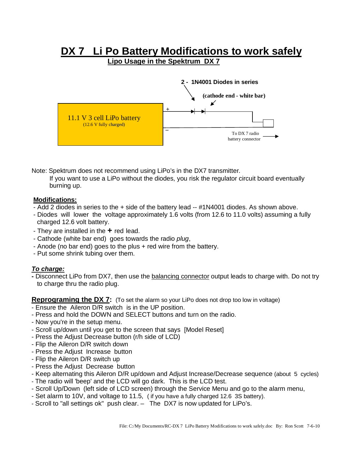# **DX 7 Li Po Battery Modifications to work safely**<br>Lipo Usage in the Spektrum DX 7



Note: Spektrum does not recommend using LiPo's in the DX7 transmitter*.*

 If you want to use a LiPo without the diodes, you risk the regulator circuit board eventually burning up.

#### **Modifications:**

- Add 2 diodes in series to the + side of the battery lead -- #1N4001 diodes. As shown above.
- Diodes will lower the voltage approximately 1.6 volts (from 12.6 to 11.0 volts) assuming a fully charged 12.6 volt battery.
- They are installed in the **+** red lead.
- Cathode (white bar end) goes towards the radio *plug*,
- Anode (no bar end) goes to the plus + red wire from the battery.
- Put some shrink tubing over them.

#### *To charge:*

**-** Disconnect LiPo from DX7, then use the balancing connector output leads to charge with. Do not try to charge thru the radio plug.

**Reprograming the DX 7:** (To set the alarm so your LiPo does not drop too low in voltage)

- Ensure the Aileron D/R switch is in the UP position.
- Press and hold the DOWN and SELECT buttons and turn on the radio.
- Now you're in the setup menu.
- Scroll up/down until you get to the screen that says [Model Reset]
- Press the Adjust Decrease button (r/h side of LCD)
- Flip the Aileron D/R switch down
- Press the Adjust Increase button
- Flip the Aileron D/R switch up
- Press the Adjust Decrease button
- Keep alternating this Aileron D/R up/down and Adjust Increase/Decrease sequence (about 5 cycles)
- The radio will 'beep' and the LCD will go dark. This is the LCD test.
- Scroll Up/Down (left side of LCD screen) through the Service Menu and go to the alarm menu,
- Set alarm to 10V, and voltage to 11.5, ( if you have a fully charged 12.6 3S battery).
- Scroll to "all settings ok" push clear. The DX7 is now updated for LiPo's.